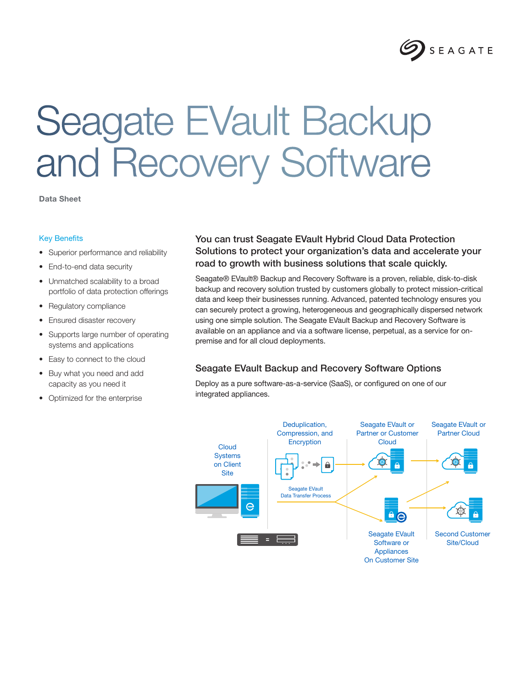

# Seagate EVault Backup and Recovery Software

Data Sheet

#### Key Benefits

- Superior performance and reliability
- End-to-end data security
- Unmatched scalability to a broad portfolio of data protection offerings
- Regulatory compliance
- Ensured disaster recovery
- Supports large number of operating systems and applications
- Easy to connect to the cloud
- Buy what you need and add capacity as you need it
- Optimized for the enterprise

## You can trust Seagate EVault Hybrid Cloud Data Protection Solutions to protect your organization's data and accelerate your road to growth with business solutions that scale quickly.

Seagate® EVault® Backup and Recovery Software is a proven, reliable, disk-to-disk backup and recovery solution trusted by customers globally to protect mission-critical data and keep their businesses running. Advanced, patented technology ensures you can securely protect a growing, heterogeneous and geographically dispersed network using one simple solution. The Seagate EVault Backup and Recovery Software is available on an appliance and via a software license, perpetual, as a service for onpremise and for all cloud deployments.

#### Seagate EVault Backup and Recovery Software Options

Deploy as a pure software-as-a-service (SaaS), or configured on one of our integrated appliances.

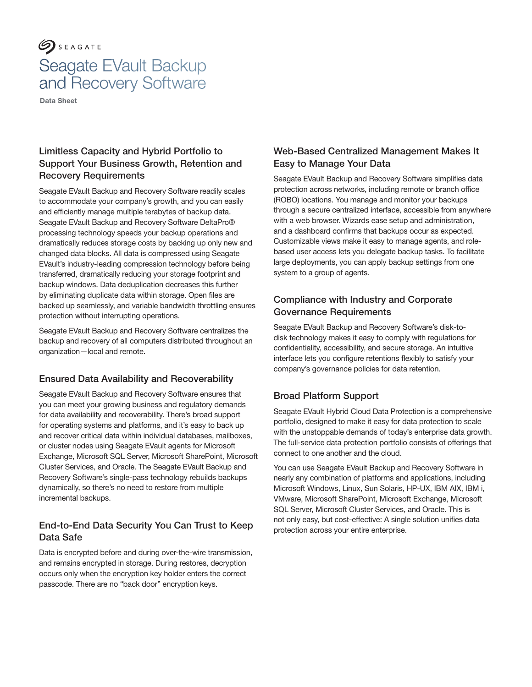# $\mathcal{S}$  SEAGATE Seagate EVault Backup and Recovery Software

Data Sheet

# Limitless Capacity and Hybrid Portfolio to Support Your Business Growth, Retention and Recovery Requirements

Seagate EVault Backup and Recovery Software readily scales to accommodate your company's growth, and you can easily and efficiently manage multiple terabytes of backup data. Seagate EVault Backup and Recovery Software DeltaPro® processing technology speeds your backup operations and dramatically reduces storage costs by backing up only new and changed data blocks. All data is compressed using Seagate EVault's industry-leading compression technology before being transferred, dramatically reducing your storage footprint and backup windows. Data deduplication decreases this further by eliminating duplicate data within storage. Open files are backed up seamlessly, and variable bandwidth throttling ensures protection without interrupting operations.

Seagate EVault Backup and Recovery Software centralizes the backup and recovery of all computers distributed throughout an organization—local and remote.

### Ensured Data Availability and Recoverability

Seagate EVault Backup and Recovery Software ensures that you can meet your growing business and regulatory demands for data availability and recoverability. There's broad support for operating systems and platforms, and it's easy to back up and recover critical data within individual databases, mailboxes, or cluster nodes using Seagate EVault agents for Microsoft Exchange, Microsoft SQL Server, Microsoft SharePoint, Microsoft Cluster Services, and Oracle. The Seagate EVault Backup and Recovery Software's single-pass technology rebuilds backups dynamically, so there's no need to restore from multiple incremental backups.

### End-to-End Data Security You Can Trust to Keep Data Safe

Data is encrypted before and during over-the-wire transmission, and remains encrypted in storage. During restores, decryption occurs only when the encryption key holder enters the correct passcode. There are no "back door" encryption keys.

# Web-Based Centralized Management Makes It Easy to Manage Your Data

Seagate EVault Backup and Recovery Software simplifies data protection across networks, including remote or branch office (ROBO) locations. You manage and monitor your backups through a secure centralized interface, accessible from anywhere with a web browser. Wizards ease setup and administration, and a dashboard confirms that backups occur as expected. Customizable views make it easy to manage agents, and rolebased user access lets you delegate backup tasks. To facilitate large deployments, you can apply backup settings from one system to a group of agents.

# Compliance with Industry and Corporate Governance Requirements

Seagate EVault Backup and Recovery Software's disk-todisk technology makes it easy to comply with regulations for confidentiality, accessibility, and secure storage. An intuitive interface lets you configure retentions flexibly to satisfy your company's governance policies for data retention.

# Broad Platform Support

Seagate EVault Hybrid Cloud Data Protection is a comprehensive portfolio, designed to make it easy for data protection to scale with the unstoppable demands of today's enterprise data growth. The full-service data protection portfolio consists of offerings that connect to one another and the cloud.

You can use Seagate EVault Backup and Recovery Software in nearly any combination of platforms and applications, including Microsoft Windows, Linux, Sun Solaris, HP-UX, IBM AIX, IBM i, VMware, Microsoft SharePoint, Microsoft Exchange, Microsoft SQL Server, Microsoft Cluster Services, and Oracle. This is not only easy, but cost-effective: A single solution unifies data protection across your entire enterprise.